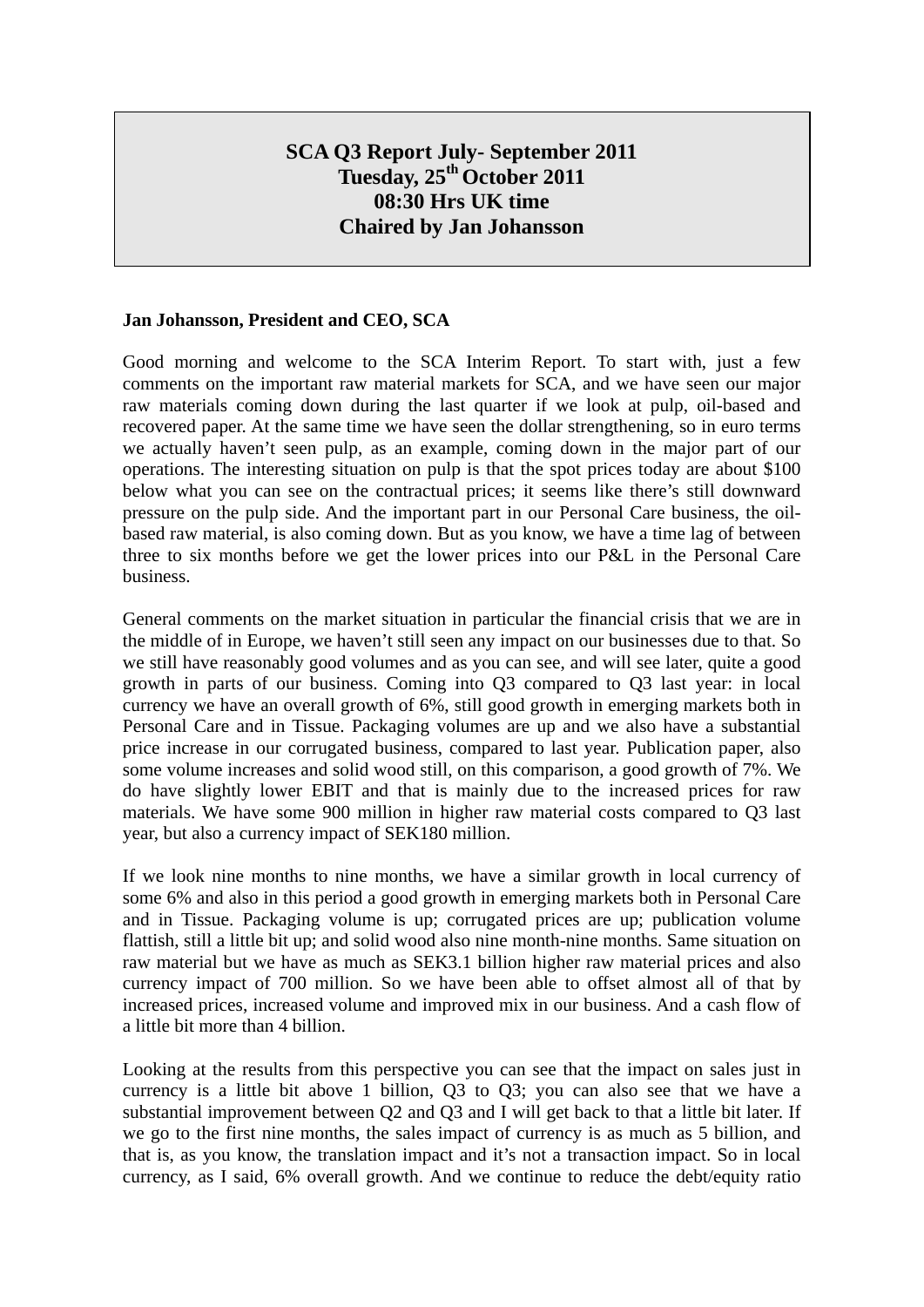# **SCA Q3 Report July- September 2011 Tuesday, 25th October 2011 08:30 Hrs UK time Chaired by Jan Johansson**

#### **Jan Johansson, President and CEO, SCA**

Good morning and welcome to the SCA Interim Report. To start with, just a few comments on the important raw material markets for SCA, and we have seen our major raw materials coming down during the last quarter if we look at pulp, oil-based and recovered paper. At the same time we have seen the dollar strengthening, so in euro terms we actually haven't seen pulp, as an example, coming down in the major part of our operations. The interesting situation on pulp is that the spot prices today are about \$100 below what you can see on the contractual prices; it seems like there's still downward pressure on the pulp side. And the important part in our Personal Care business, the oilbased raw material, is also coming down. But as you know, we have a time lag of between three to six months before we get the lower prices into our P&L in the Personal Care business.

General comments on the market situation in particular the financial crisis that we are in the middle of in Europe, we haven't still seen any impact on our businesses due to that. So we still have reasonably good volumes and as you can see, and will see later, quite a good growth in parts of our business. Coming into Q3 compared to Q3 last year: in local currency we have an overall growth of 6%, still good growth in emerging markets both in Personal Care and in Tissue. Packaging volumes are up and we also have a substantial price increase in our corrugated business, compared to last year. Publication paper, also some volume increases and solid wood still, on this comparison, a good growth of 7%. We do have slightly lower EBIT and that is mainly due to the increased prices for raw materials. We have some 900 million in higher raw material costs compared to Q3 last year, but also a currency impact of SEK180 million.

If we look nine months to nine months, we have a similar growth in local currency of some 6% and also in this period a good growth in emerging markets both in Personal Care and in Tissue. Packaging volume is up; corrugated prices are up; publication volume flattish, still a little bit up; and solid wood also nine month-nine months. Same situation on raw material but we have as much as SEK3.1 billion higher raw material prices and also currency impact of 700 million. So we have been able to offset almost all of that by increased prices, increased volume and improved mix in our business. And a cash flow of a little bit more than 4 billion.

Looking at the results from this perspective you can see that the impact on sales just in currency is a little bit above 1 billion, Q3 to Q3; you can also see that we have a substantial improvement between Q2 and Q3 and I will get back to that a little bit later. If we go to the first nine months, the sales impact of currency is as much as 5 billion, and that is, as you know, the translation impact and it's not a transaction impact. So in local currency, as I said, 6% overall growth. And we continue to reduce the debt/equity ratio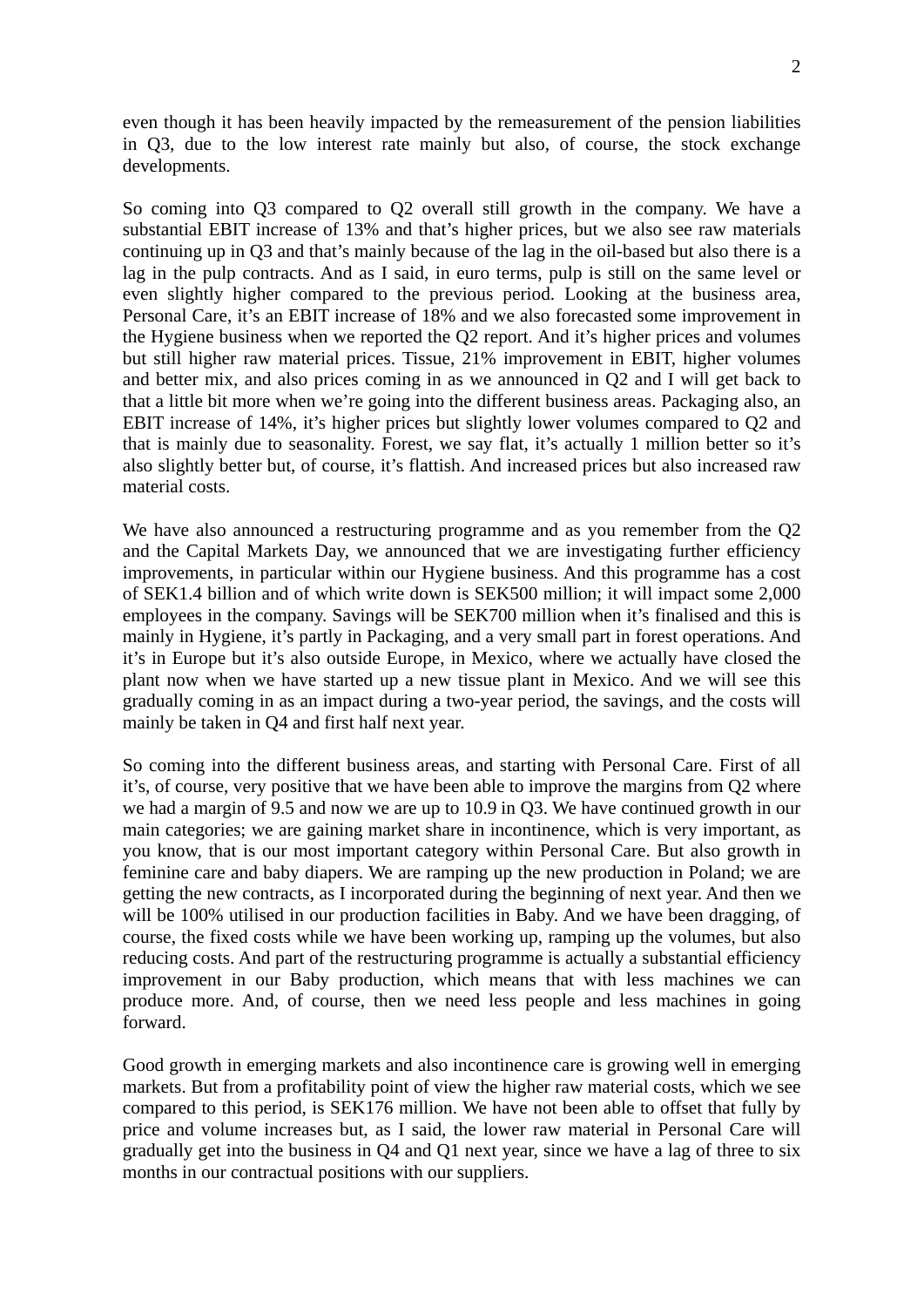even though it has been heavily impacted by the remeasurement of the pension liabilities in Q3, due to the low interest rate mainly but also, of course, the stock exchange developments.

So coming into Q3 compared to Q2 overall still growth in the company. We have a substantial EBIT increase of 13% and that's higher prices, but we also see raw materials continuing up in Q3 and that's mainly because of the lag in the oil-based but also there is a lag in the pulp contracts. And as I said, in euro terms, pulp is still on the same level or even slightly higher compared to the previous period. Looking at the business area, Personal Care, it's an EBIT increase of 18% and we also forecasted some improvement in the Hygiene business when we reported the Q2 report. And it's higher prices and volumes but still higher raw material prices. Tissue, 21% improvement in EBIT, higher volumes and better mix, and also prices coming in as we announced in Q2 and I will get back to that a little bit more when we're going into the different business areas. Packaging also, an EBIT increase of 14%, it's higher prices but slightly lower volumes compared to Q2 and that is mainly due to seasonality. Forest, we say flat, it's actually 1 million better so it's also slightly better but, of course, it's flattish. And increased prices but also increased raw material costs.

We have also announced a restructuring programme and as you remember from the Q2 and the Capital Markets Day, we announced that we are investigating further efficiency improvements, in particular within our Hygiene business. And this programme has a cost of SEK1.4 billion and of which write down is SEK500 million; it will impact some 2,000 employees in the company. Savings will be SEK700 million when it's finalised and this is mainly in Hygiene, it's partly in Packaging, and a very small part in forest operations. And it's in Europe but it's also outside Europe, in Mexico, where we actually have closed the plant now when we have started up a new tissue plant in Mexico. And we will see this gradually coming in as an impact during a two-year period, the savings, and the costs will mainly be taken in Q4 and first half next year.

So coming into the different business areas, and starting with Personal Care. First of all it's, of course, very positive that we have been able to improve the margins from Q2 where we had a margin of 9.5 and now we are up to 10.9 in Q3. We have continued growth in our main categories; we are gaining market share in incontinence, which is very important, as you know, that is our most important category within Personal Care. But also growth in feminine care and baby diapers. We are ramping up the new production in Poland; we are getting the new contracts, as I incorporated during the beginning of next year. And then we will be 100% utilised in our production facilities in Baby. And we have been dragging, of course, the fixed costs while we have been working up, ramping up the volumes, but also reducing costs. And part of the restructuring programme is actually a substantial efficiency improvement in our Baby production, which means that with less machines we can produce more. And, of course, then we need less people and less machines in going forward.

Good growth in emerging markets and also incontinence care is growing well in emerging markets. But from a profitability point of view the higher raw material costs, which we see compared to this period, is SEK176 million. We have not been able to offset that fully by price and volume increases but, as I said, the lower raw material in Personal Care will gradually get into the business in Q4 and Q1 next year, since we have a lag of three to six months in our contractual positions with our suppliers.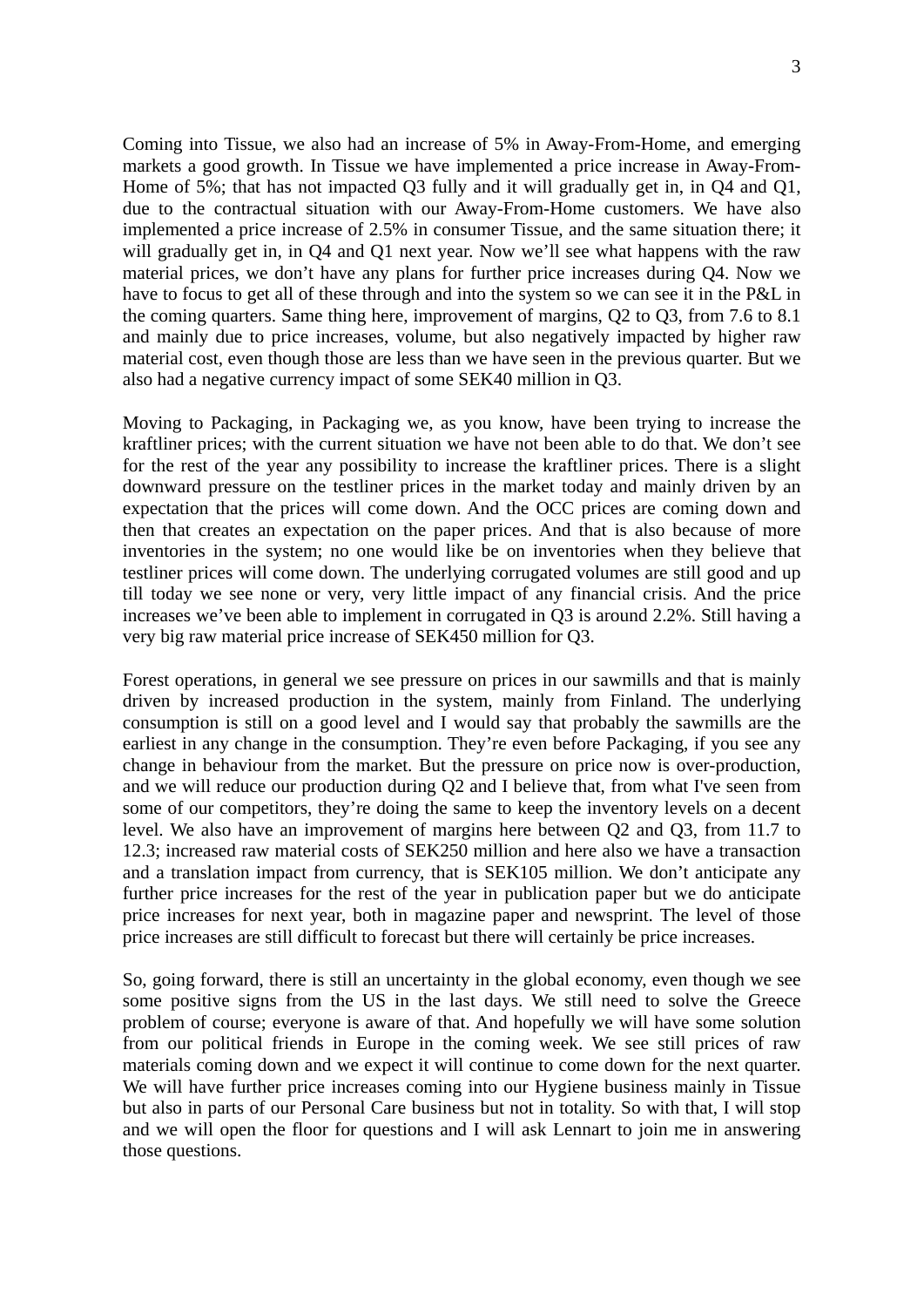Coming into Tissue, we also had an increase of 5% in Away-From-Home, and emerging markets a good growth. In Tissue we have implemented a price increase in Away-From-Home of 5%; that has not impacted Q3 fully and it will gradually get in, in Q4 and Q1, due to the contractual situation with our Away-From-Home customers. We have also implemented a price increase of 2.5% in consumer Tissue, and the same situation there; it will gradually get in, in Q4 and Q1 next year. Now we'll see what happens with the raw material prices, we don't have any plans for further price increases during Q4. Now we have to focus to get all of these through and into the system so we can see it in the P&L in the coming quarters. Same thing here, improvement of margins, Q2 to Q3, from 7.6 to 8.1 and mainly due to price increases, volume, but also negatively impacted by higher raw material cost, even though those are less than we have seen in the previous quarter. But we also had a negative currency impact of some SEK40 million in Q3.

Moving to Packaging, in Packaging we, as you know, have been trying to increase the kraftliner prices; with the current situation we have not been able to do that. We don't see for the rest of the year any possibility to increase the kraftliner prices. There is a slight downward pressure on the testliner prices in the market today and mainly driven by an expectation that the prices will come down. And the OCC prices are coming down and then that creates an expectation on the paper prices. And that is also because of more inventories in the system; no one would like be on inventories when they believe that testliner prices will come down. The underlying corrugated volumes are still good and up till today we see none or very, very little impact of any financial crisis. And the price increases we've been able to implement in corrugated in Q3 is around 2.2%. Still having a very big raw material price increase of SEK450 million for Q3.

Forest operations, in general we see pressure on prices in our sawmills and that is mainly driven by increased production in the system, mainly from Finland. The underlying consumption is still on a good level and I would say that probably the sawmills are the earliest in any change in the consumption. They're even before Packaging, if you see any change in behaviour from the market. But the pressure on price now is over-production, and we will reduce our production during Q2 and I believe that, from what I've seen from some of our competitors, they're doing the same to keep the inventory levels on a decent level. We also have an improvement of margins here between Q2 and Q3, from 11.7 to 12.3; increased raw material costs of SEK250 million and here also we have a transaction and a translation impact from currency, that is SEK105 million. We don't anticipate any further price increases for the rest of the year in publication paper but we do anticipate price increases for next year, both in magazine paper and newsprint. The level of those price increases are still difficult to forecast but there will certainly be price increases.

So, going forward, there is still an uncertainty in the global economy, even though we see some positive signs from the US in the last days. We still need to solve the Greece problem of course; everyone is aware of that. And hopefully we will have some solution from our political friends in Europe in the coming week. We see still prices of raw materials coming down and we expect it will continue to come down for the next quarter. We will have further price increases coming into our Hygiene business mainly in Tissue but also in parts of our Personal Care business but not in totality. So with that, I will stop and we will open the floor for questions and I will ask Lennart to join me in answering those questions.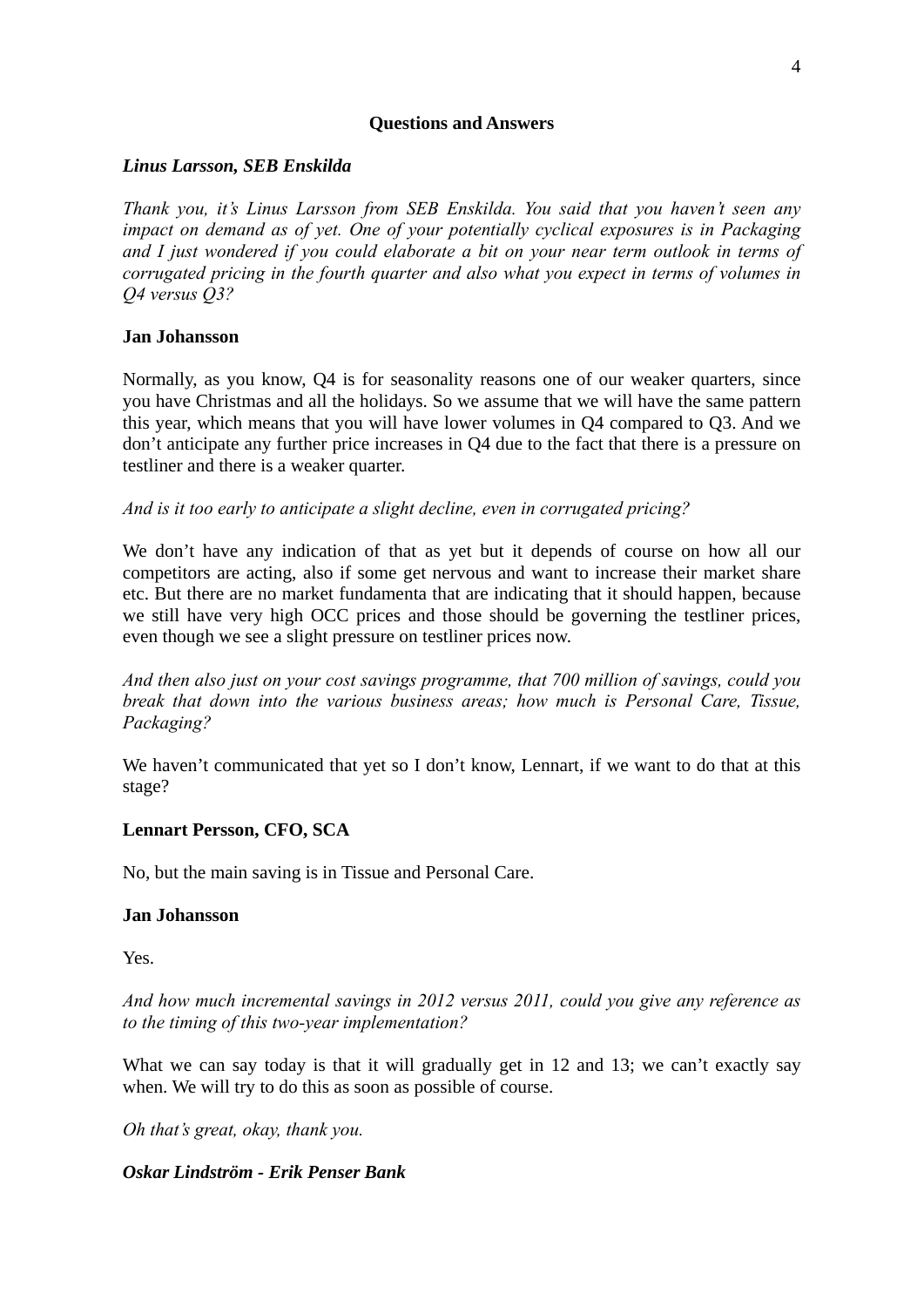# **Questions and Answers**

# *Linus Larsson, SEB Enskilda*

*Thank you, it's Linus Larsson from SEB Enskilda. You said that you haven't seen any impact on demand as of yet. One of your potentially cyclical exposures is in Packaging and I just wondered if you could elaborate a bit on your near term outlook in terms of corrugated pricing in the fourth quarter and also what you expect in terms of volumes in Q4 versus Q3?* 

# **Jan Johansson**

Normally, as you know, Q4 is for seasonality reasons one of our weaker quarters, since you have Christmas and all the holidays. So we assume that we will have the same pattern this year, which means that you will have lower volumes in Q4 compared to Q3. And we don't anticipate any further price increases in Q4 due to the fact that there is a pressure on testliner and there is a weaker quarter.

*And is it too early to anticipate a slight decline, even in corrugated pricing?* 

We don't have any indication of that as yet but it depends of course on how all our competitors are acting, also if some get nervous and want to increase their market share etc. But there are no market fundamenta that are indicating that it should happen, because we still have very high OCC prices and those should be governing the testliner prices, even though we see a slight pressure on testliner prices now.

*And then also just on your cost savings programme, that 700 million of savings, could you break that down into the various business areas; how much is Personal Care, Tissue, Packaging?* 

We haven't communicated that yet so I don't know, Lennart, if we want to do that at this stage?

# **Lennart Persson, CFO, SCA**

No, but the main saving is in Tissue and Personal Care.

# **Jan Johansson**

Yes.

*And how much incremental savings in 2012 versus 2011, could you give any reference as to the timing of this two-year implementation?* 

What we can say today is that it will gradually get in 12 and 13; we can't exactly say when. We will try to do this as soon as possible of course.

*Oh that's great, okay, thank you.* 

# *Oskar Lindström - Erik Penser Bank*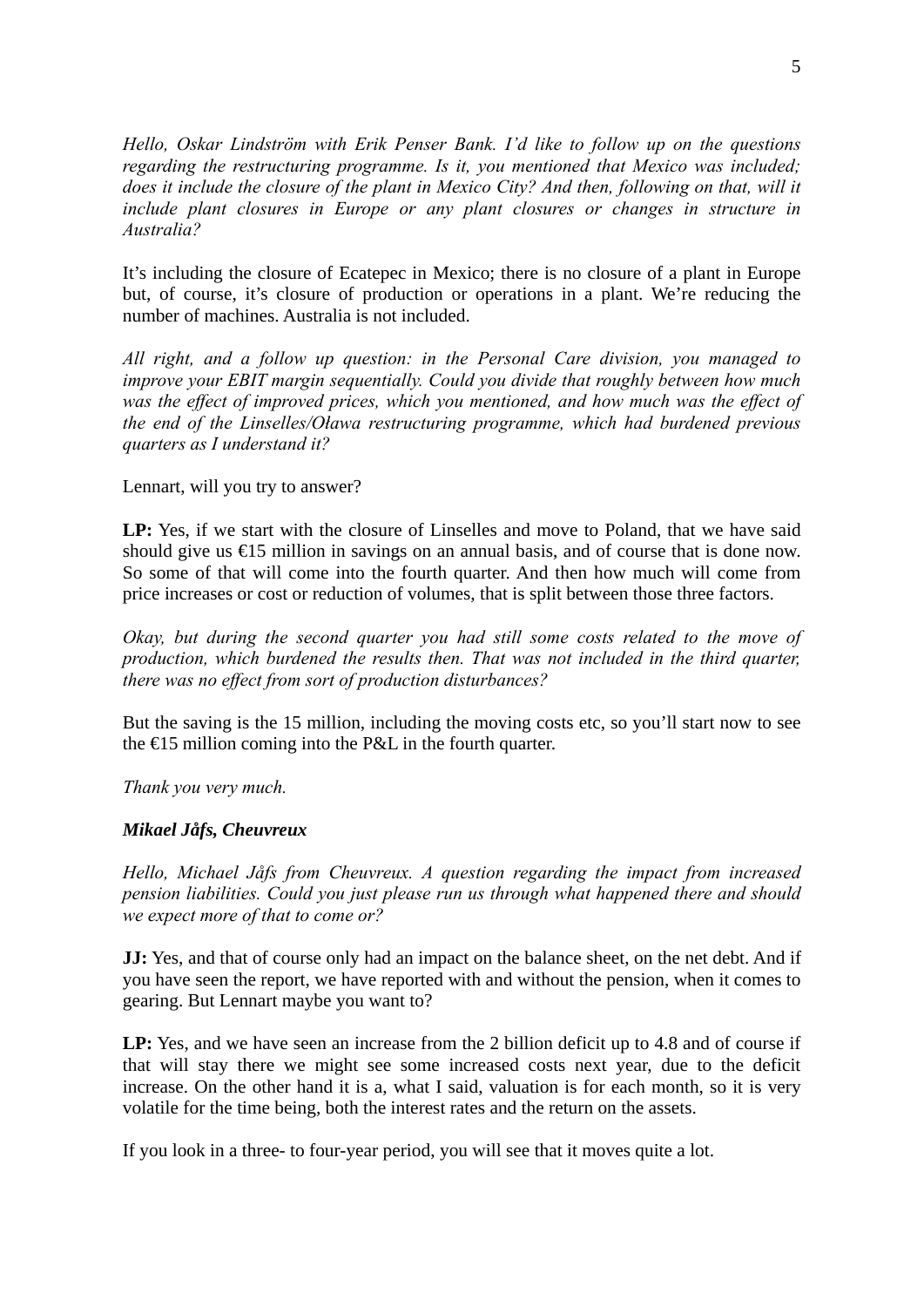*Hello, Oskar Lindström with Erik Penser Bank. I'd like to follow up on the questions regarding the restructuring programme. Is it, you mentioned that Mexico was included; does it include the closure of the plant in Mexico City? And then, following on that, will it include plant closures in Europe or any plant closures or changes in structure in Australia?* 

It's including the closure of Ecatepec in Mexico; there is no closure of a plant in Europe but, of course, it's closure of production or operations in a plant. We're reducing the number of machines. Australia is not included.

*All right, and a follow up question: in the Personal Care division, you managed to improve your EBIT margin sequentially. Could you divide that roughly between how much*  was the effect of improved prices, which you mentioned, and how much was the effect of *the end of the Linselles/Oława restructuring programme, which had burdened previous quarters as I understand it?* 

# Lennart, will you try to answer?

**LP:** Yes, if we start with the closure of Linselles and move to Poland, that we have said should give us €15 million in savings on an annual basis, and of course that is done now. So some of that will come into the fourth quarter. And then how much will come from price increases or cost or reduction of volumes, that is split between those three factors.

*Okay, but during the second quarter you had still some costs related to the move of production, which burdened the results then. That was not included in the third quarter, there was no effect from sort of production disturbances?* 

But the saving is the 15 million, including the moving costs etc, so you'll start now to see the  $\epsilon$ 15 million coming into the P&L in the fourth quarter.

*Thank you very much.* 

# *Mikael Jåfs, Cheuvreux*

*Hello, Michael Jåfs from Cheuvreux. A question regarding the impact from increased pension liabilities. Could you just please run us through what happened there and should we expect more of that to come or?* 

**JJ:** Yes, and that of course only had an impact on the balance sheet, on the net debt. And if you have seen the report, we have reported with and without the pension, when it comes to gearing. But Lennart maybe you want to?

**LP:** Yes, and we have seen an increase from the 2 billion deficit up to 4.8 and of course if that will stay there we might see some increased costs next year, due to the deficit increase. On the other hand it is a, what I said, valuation is for each month, so it is very volatile for the time being, both the interest rates and the return on the assets.

If you look in a three- to four-year period, you will see that it moves quite a lot.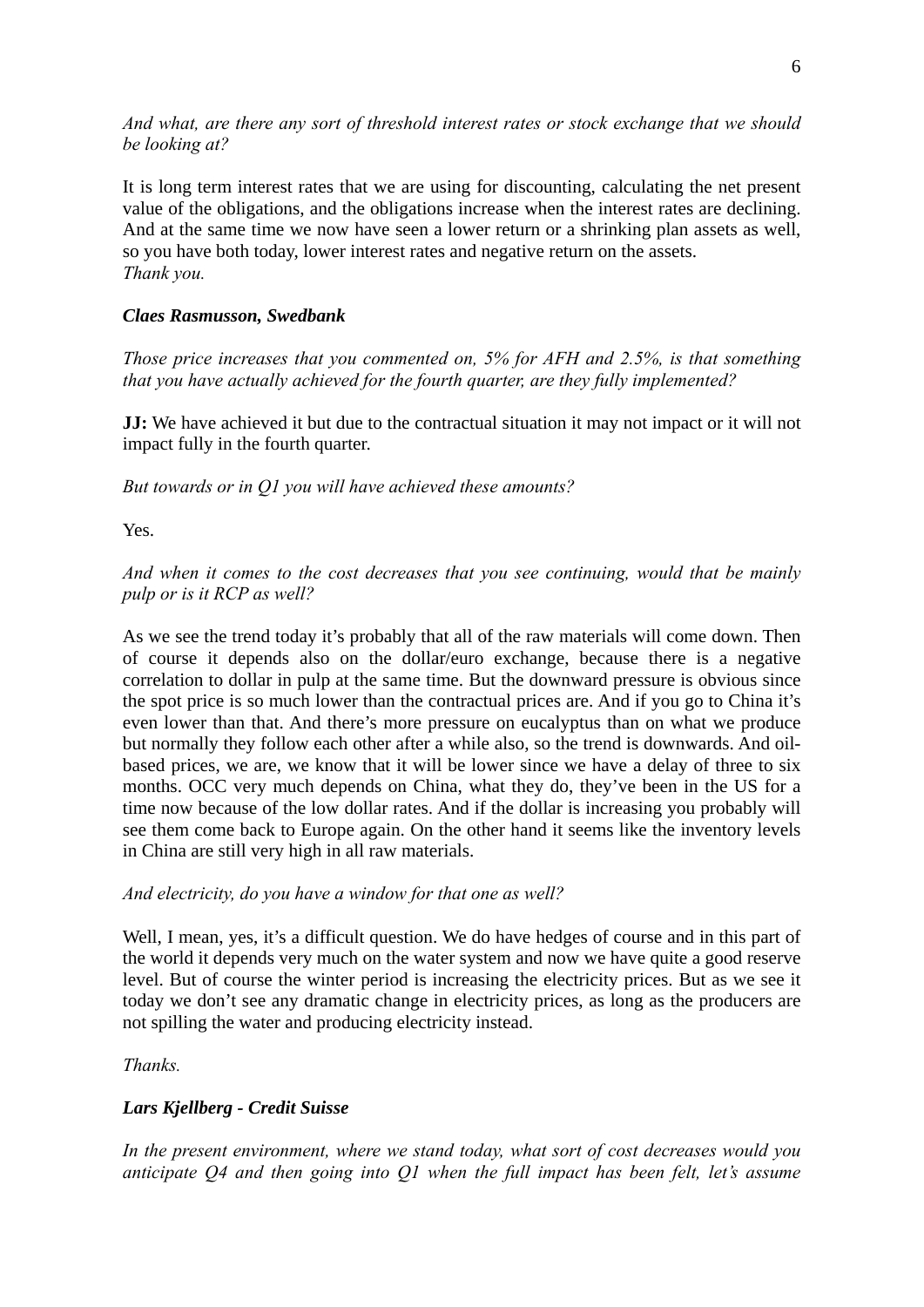*And what, are there any sort of threshold interest rates or stock exchange that we should be looking at?* 

It is long term interest rates that we are using for discounting, calculating the net present value of the obligations, and the obligations increase when the interest rates are declining. And at the same time we now have seen a lower return or a shrinking plan assets as well, so you have both today, lower interest rates and negative return on the assets. *Thank you.* 

# *Claes Rasmusson, Swedbank*

*Those price increases that you commented on, 5% for AFH and 2.5%, is that something that you have actually achieved for the fourth quarter, are they fully implemented?* 

**JJ:** We have achieved it but due to the contractual situation it may not impact or it will not impact fully in the fourth quarter.

*But towards or in Q1 you will have achieved these amounts?* 

Yes.

*And when it comes to the cost decreases that you see continuing, would that be mainly pulp or is it RCP as well?* 

As we see the trend today it's probably that all of the raw materials will come down. Then of course it depends also on the dollar/euro exchange, because there is a negative correlation to dollar in pulp at the same time. But the downward pressure is obvious since the spot price is so much lower than the contractual prices are. And if you go to China it's even lower than that. And there's more pressure on eucalyptus than on what we produce but normally they follow each other after a while also, so the trend is downwards. And oilbased prices, we are, we know that it will be lower since we have a delay of three to six months. OCC very much depends on China, what they do, they've been in the US for a time now because of the low dollar rates. And if the dollar is increasing you probably will see them come back to Europe again. On the other hand it seems like the inventory levels in China are still very high in all raw materials.

# *And electricity, do you have a window for that one as well?*

Well, I mean, yes, it's a difficult question. We do have hedges of course and in this part of the world it depends very much on the water system and now we have quite a good reserve level. But of course the winter period is increasing the electricity prices. But as we see it today we don't see any dramatic change in electricity prices, as long as the producers are not spilling the water and producing electricity instead.

*Thanks.* 

# *Lars Kjellberg - Credit Suisse*

*In the present environment, where we stand today, what sort of cost decreases would you anticipate Q4 and then going into Q1 when the full impact has been felt, let's assume*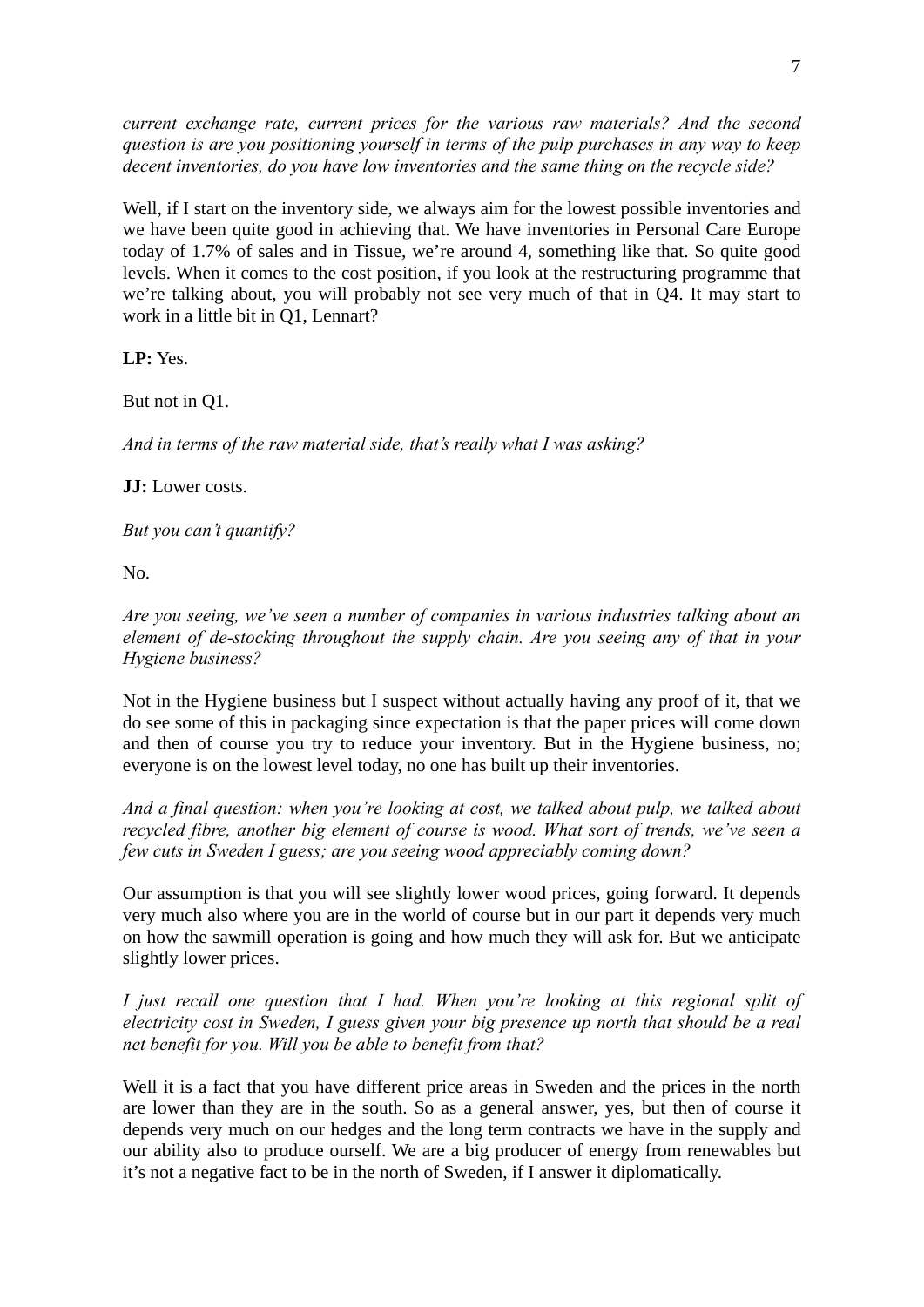*current exchange rate, current prices for the various raw materials? And the second question is are you positioning yourself in terms of the pulp purchases in any way to keep decent inventories, do you have low inventories and the same thing on the recycle side?* 

Well, if I start on the inventory side, we always aim for the lowest possible inventories and we have been quite good in achieving that. We have inventories in Personal Care Europe today of 1.7% of sales and in Tissue, we're around 4, something like that. So quite good levels. When it comes to the cost position, if you look at the restructuring programme that we're talking about, you will probably not see very much of that in Q4. It may start to work in a little bit in Q1, Lennart?

**LP:** Yes.

But not in Q1.

*And in terms of the raw material side, that's really what I was asking?* 

**JJ:** Lower costs.

*But you can't quantify?* 

No.

*Are you seeing, we've seen a number of companies in various industries talking about an element of de-stocking throughout the supply chain. Are you seeing any of that in your Hygiene business?* 

Not in the Hygiene business but I suspect without actually having any proof of it, that we do see some of this in packaging since expectation is that the paper prices will come down and then of course you try to reduce your inventory. But in the Hygiene business, no; everyone is on the lowest level today, no one has built up their inventories.

*And a final question: when you're looking at cost, we talked about pulp, we talked about recycled fibre, another big element of course is wood. What sort of trends, we've seen a few cuts in Sweden I guess; are you seeing wood appreciably coming down?* 

Our assumption is that you will see slightly lower wood prices, going forward. It depends very much also where you are in the world of course but in our part it depends very much on how the sawmill operation is going and how much they will ask for. But we anticipate slightly lower prices.

*I just recall one question that I had. When you're looking at this regional split of electricity cost in Sweden, I guess given your big presence up north that should be a real net benefit for you. Will you be able to benefit from that?* 

Well it is a fact that you have different price areas in Sweden and the prices in the north are lower than they are in the south. So as a general answer, yes, but then of course it depends very much on our hedges and the long term contracts we have in the supply and our ability also to produce ourself. We are a big producer of energy from renewables but it's not a negative fact to be in the north of Sweden, if I answer it diplomatically.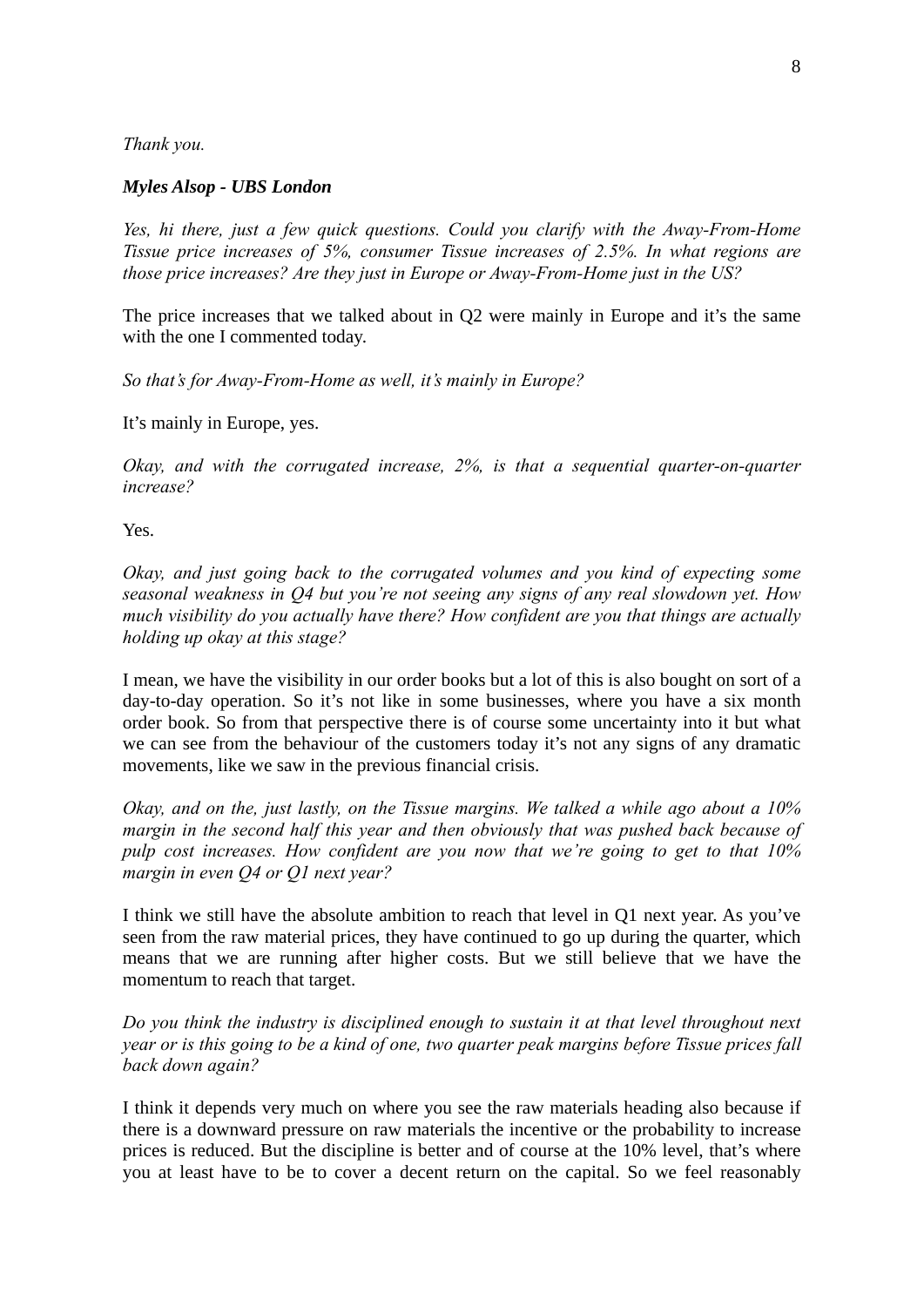*Thank you.* 

#### *Myles Alsop - UBS London*

*Yes, hi there, just a few quick questions. Could you clarify with the Away-From-Home Tissue price increases of 5%, consumer Tissue increases of 2.5%. In what regions are those price increases? Are they just in Europe or Away-From-Home just in the US?* 

The price increases that we talked about in Q2 were mainly in Europe and it's the same with the one I commented today.

*So that's for Away-From-Home as well, it's mainly in Europe?* 

It's mainly in Europe, yes.

*Okay, and with the corrugated increase, 2%, is that a sequential quarter-on-quarter increase?* 

Yes.

*Okay, and just going back to the corrugated volumes and you kind of expecting some seasonal weakness in Q4 but you're not seeing any signs of any real slowdown yet. How much visibility do you actually have there? How confident are you that things are actually holding up okay at this stage?* 

I mean, we have the visibility in our order books but a lot of this is also bought on sort of a day-to-day operation. So it's not like in some businesses, where you have a six month order book. So from that perspective there is of course some uncertainty into it but what we can see from the behaviour of the customers today it's not any signs of any dramatic movements, like we saw in the previous financial crisis.

*Okay, and on the, just lastly, on the Tissue margins. We talked a while ago about a 10% margin in the second half this year and then obviously that was pushed back because of pulp cost increases. How confident are you now that we're going to get to that 10% margin in even Q4 or Q1 next year?* 

I think we still have the absolute ambition to reach that level in Q1 next year. As you've seen from the raw material prices, they have continued to go up during the quarter, which means that we are running after higher costs. But we still believe that we have the momentum to reach that target.

*Do you think the industry is disciplined enough to sustain it at that level throughout next year or is this going to be a kind of one, two quarter peak margins before Tissue prices fall back down again?* 

I think it depends very much on where you see the raw materials heading also because if there is a downward pressure on raw materials the incentive or the probability to increase prices is reduced. But the discipline is better and of course at the 10% level, that's where you at least have to be to cover a decent return on the capital. So we feel reasonably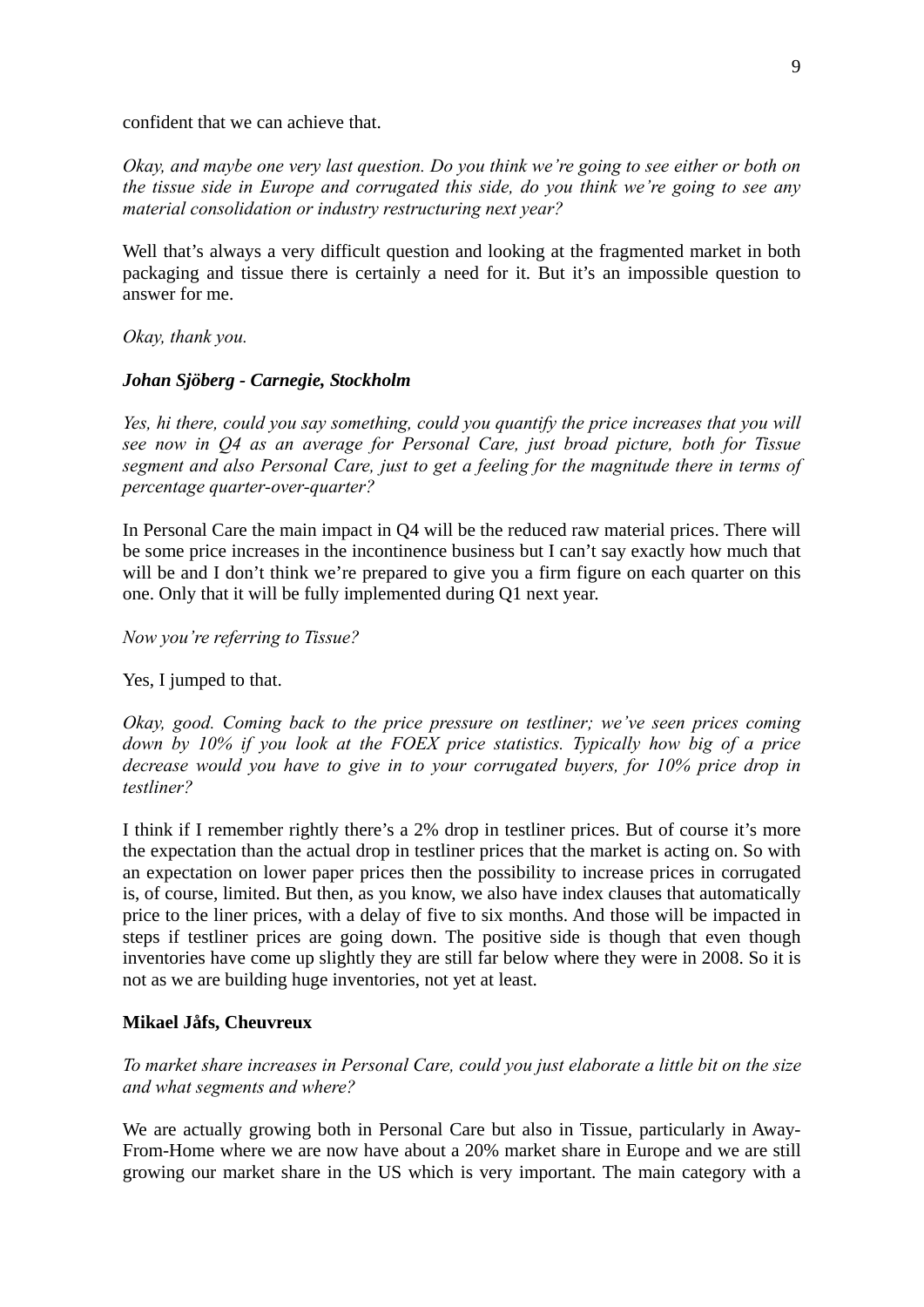confident that we can achieve that.

*Okay, and maybe one very last question. Do you think we're going to see either or both on the tissue side in Europe and corrugated this side, do you think we're going to see any material consolidation or industry restructuring next year?* 

Well that's always a very difficult question and looking at the fragmented market in both packaging and tissue there is certainly a need for it. But it's an impossible question to answer for me.

*Okay, thank you.* 

# *Johan Sjöberg - Carnegie, Stockholm*

*Yes, hi there, could you say something, could you quantify the price increases that you will see now in Q4 as an average for Personal Care, just broad picture, both for Tissue segment and also Personal Care, just to get a feeling for the magnitude there in terms of percentage quarter-over-quarter?* 

In Personal Care the main impact in Q4 will be the reduced raw material prices. There will be some price increases in the incontinence business but I can't say exactly how much that will be and I don't think we're prepared to give you a firm figure on each quarter on this one. Only that it will be fully implemented during Q1 next year.

*Now you're referring to Tissue?* 

Yes, I jumped to that.

*Okay, good. Coming back to the price pressure on testliner; we've seen prices coming down by 10% if you look at the FOEX price statistics. Typically how big of a price decrease would you have to give in to your corrugated buyers, for 10% price drop in testliner?* 

I think if I remember rightly there's a 2% drop in testliner prices. But of course it's more the expectation than the actual drop in testliner prices that the market is acting on. So with an expectation on lower paper prices then the possibility to increase prices in corrugated is, of course, limited. But then, as you know, we also have index clauses that automatically price to the liner prices, with a delay of five to six months. And those will be impacted in steps if testliner prices are going down. The positive side is though that even though inventories have come up slightly they are still far below where they were in 2008. So it is not as we are building huge inventories, not yet at least.

# **Mikael Jåfs, Cheuvreux**

*To market share increases in Personal Care, could you just elaborate a little bit on the size and what segments and where?* 

We are actually growing both in Personal Care but also in Tissue, particularly in Away-From-Home where we are now have about a 20% market share in Europe and we are still growing our market share in the US which is very important. The main category with a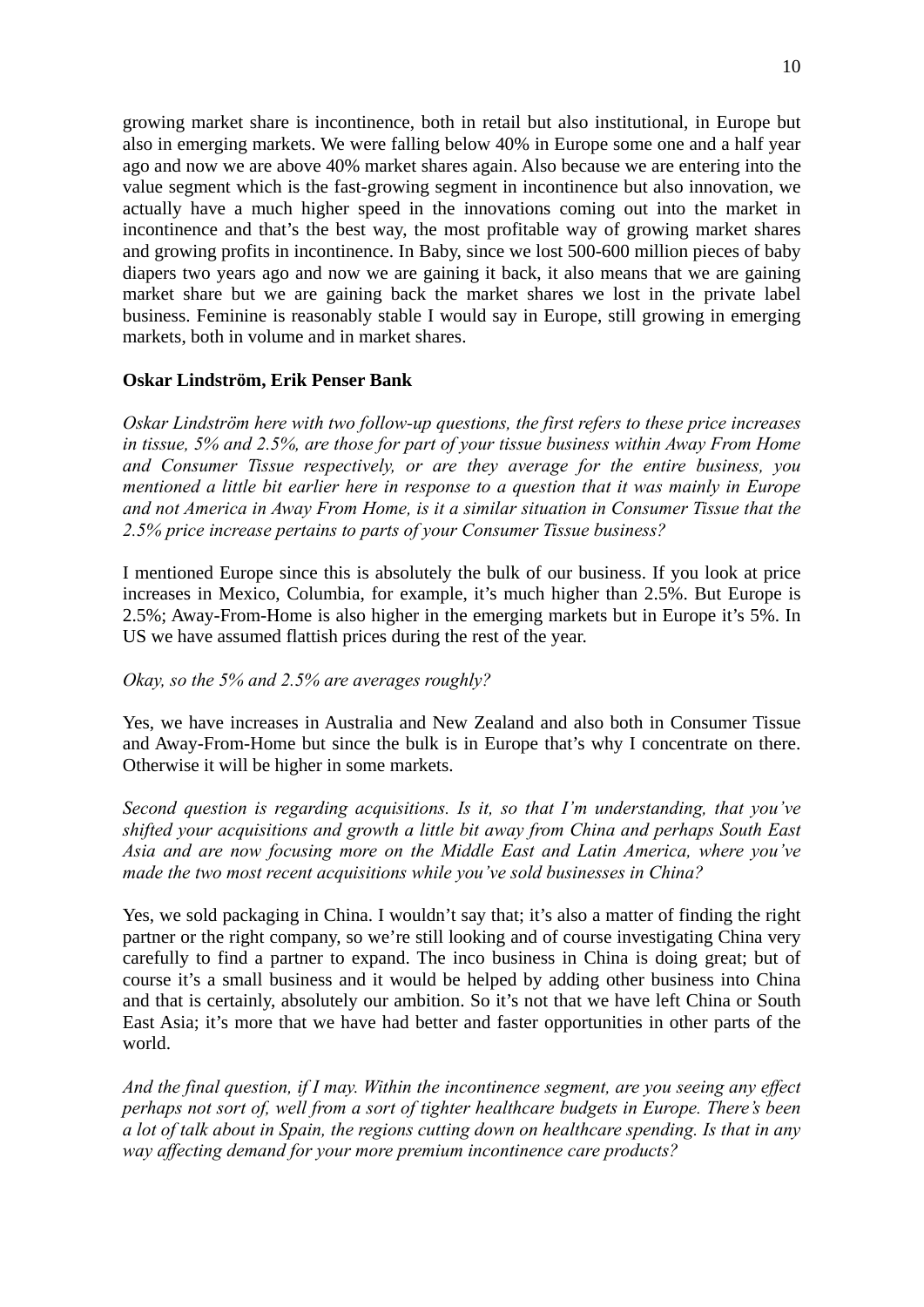growing market share is incontinence, both in retail but also institutional, in Europe but also in emerging markets. We were falling below 40% in Europe some one and a half year ago and now we are above 40% market shares again. Also because we are entering into the value segment which is the fast-growing segment in incontinence but also innovation, we actually have a much higher speed in the innovations coming out into the market in incontinence and that's the best way, the most profitable way of growing market shares and growing profits in incontinence. In Baby, since we lost 500-600 million pieces of baby diapers two years ago and now we are gaining it back, it also means that we are gaining market share but we are gaining back the market shares we lost in the private label business. Feminine is reasonably stable I would say in Europe, still growing in emerging markets, both in volume and in market shares.

# **Oskar Lindström, Erik Penser Bank**

*Oskar Lindström here with two follow-up questions, the first refers to these price increases in tissue, 5% and 2.5%, are those for part of your tissue business within Away From Home and Consumer Tissue respectively, or are they average for the entire business, you mentioned a little bit earlier here in response to a question that it was mainly in Europe and not America in Away From Home, is it a similar situation in Consumer Tissue that the 2.5% price increase pertains to parts of your Consumer Tissue business?* 

I mentioned Europe since this is absolutely the bulk of our business. If you look at price increases in Mexico, Columbia, for example, it's much higher than 2.5%. But Europe is 2.5%; Away-From-Home is also higher in the emerging markets but in Europe it's 5%. In US we have assumed flattish prices during the rest of the year.

*Okay, so the 5% and 2.5% are averages roughly?* 

Yes, we have increases in Australia and New Zealand and also both in Consumer Tissue and Away-From-Home but since the bulk is in Europe that's why I concentrate on there. Otherwise it will be higher in some markets.

*Second question is regarding acquisitions. Is it, so that I'm understanding, that you've shifted your acquisitions and growth a little bit away from China and perhaps South East Asia and are now focusing more on the Middle East and Latin America, where you've made the two most recent acquisitions while you've sold businesses in China?* 

Yes, we sold packaging in China. I wouldn't say that; it's also a matter of finding the right partner or the right company, so we're still looking and of course investigating China very carefully to find a partner to expand. The inco business in China is doing great; but of course it's a small business and it would be helped by adding other business into China and that is certainly, absolutely our ambition. So it's not that we have left China or South East Asia; it's more that we have had better and faster opportunities in other parts of the world.

*And the final question, if I may. Within the incontinence segment, are you seeing any effect perhaps not sort of, well from a sort of tighter healthcare budgets in Europe. There's been a lot of talk about in Spain, the regions cutting down on healthcare spending. Is that in any way affecting demand for your more premium incontinence care products?*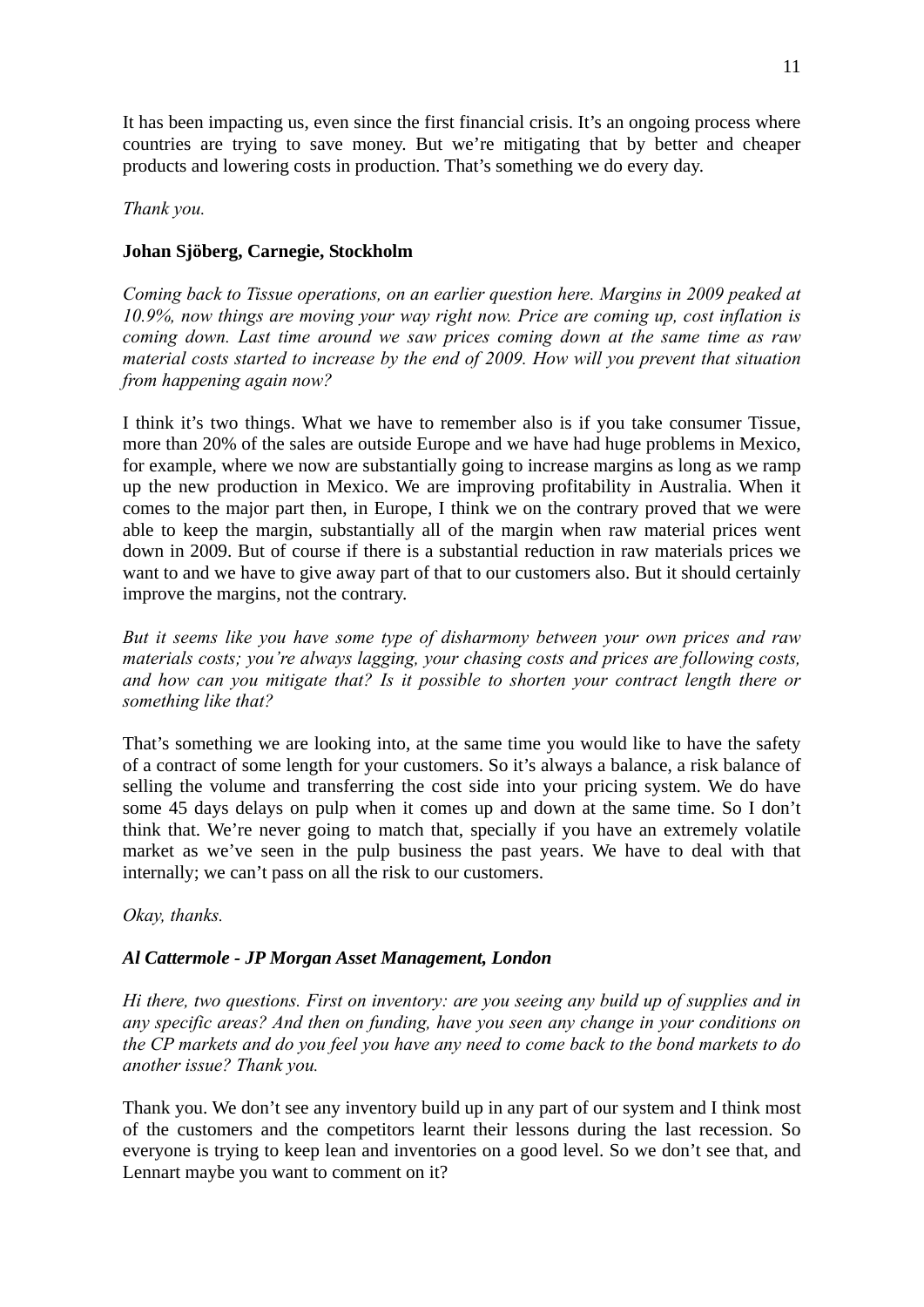It has been impacting us, even since the first financial crisis. It's an ongoing process where countries are trying to save money. But we're mitigating that by better and cheaper products and lowering costs in production. That's something we do every day.

# *Thank you.*

# **Johan Sjöberg, Carnegie, Stockholm**

*Coming back to Tissue operations, on an earlier question here. Margins in 2009 peaked at 10.9%, now things are moving your way right now. Price are coming up, cost inflation is coming down. Last time around we saw prices coming down at the same time as raw material costs started to increase by the end of 2009. How will you prevent that situation from happening again now?* 

I think it's two things. What we have to remember also is if you take consumer Tissue, more than 20% of the sales are outside Europe and we have had huge problems in Mexico, for example, where we now are substantially going to increase margins as long as we ramp up the new production in Mexico. We are improving profitability in Australia. When it comes to the major part then, in Europe, I think we on the contrary proved that we were able to keep the margin, substantially all of the margin when raw material prices went down in 2009. But of course if there is a substantial reduction in raw materials prices we want to and we have to give away part of that to our customers also. But it should certainly improve the margins, not the contrary.

*But it seems like you have some type of disharmony between your own prices and raw materials costs; you're always lagging, your chasing costs and prices are following costs, and how can you mitigate that? Is it possible to shorten your contract length there or something like that?* 

That's something we are looking into, at the same time you would like to have the safety of a contract of some length for your customers. So it's always a balance, a risk balance of selling the volume and transferring the cost side into your pricing system. We do have some 45 days delays on pulp when it comes up and down at the same time. So I don't think that. We're never going to match that, specially if you have an extremely volatile market as we've seen in the pulp business the past years. We have to deal with that internally; we can't pass on all the risk to our customers.

# *Okay, thanks.*

# *Al Cattermole - JP Morgan Asset Management, London*

*Hi there, two questions. First on inventory: are you seeing any build up of supplies and in any specific areas? And then on funding, have you seen any change in your conditions on the CP markets and do you feel you have any need to come back to the bond markets to do another issue? Thank you.* 

Thank you. We don't see any inventory build up in any part of our system and I think most of the customers and the competitors learnt their lessons during the last recession. So everyone is trying to keep lean and inventories on a good level. So we don't see that, and Lennart maybe you want to comment on it?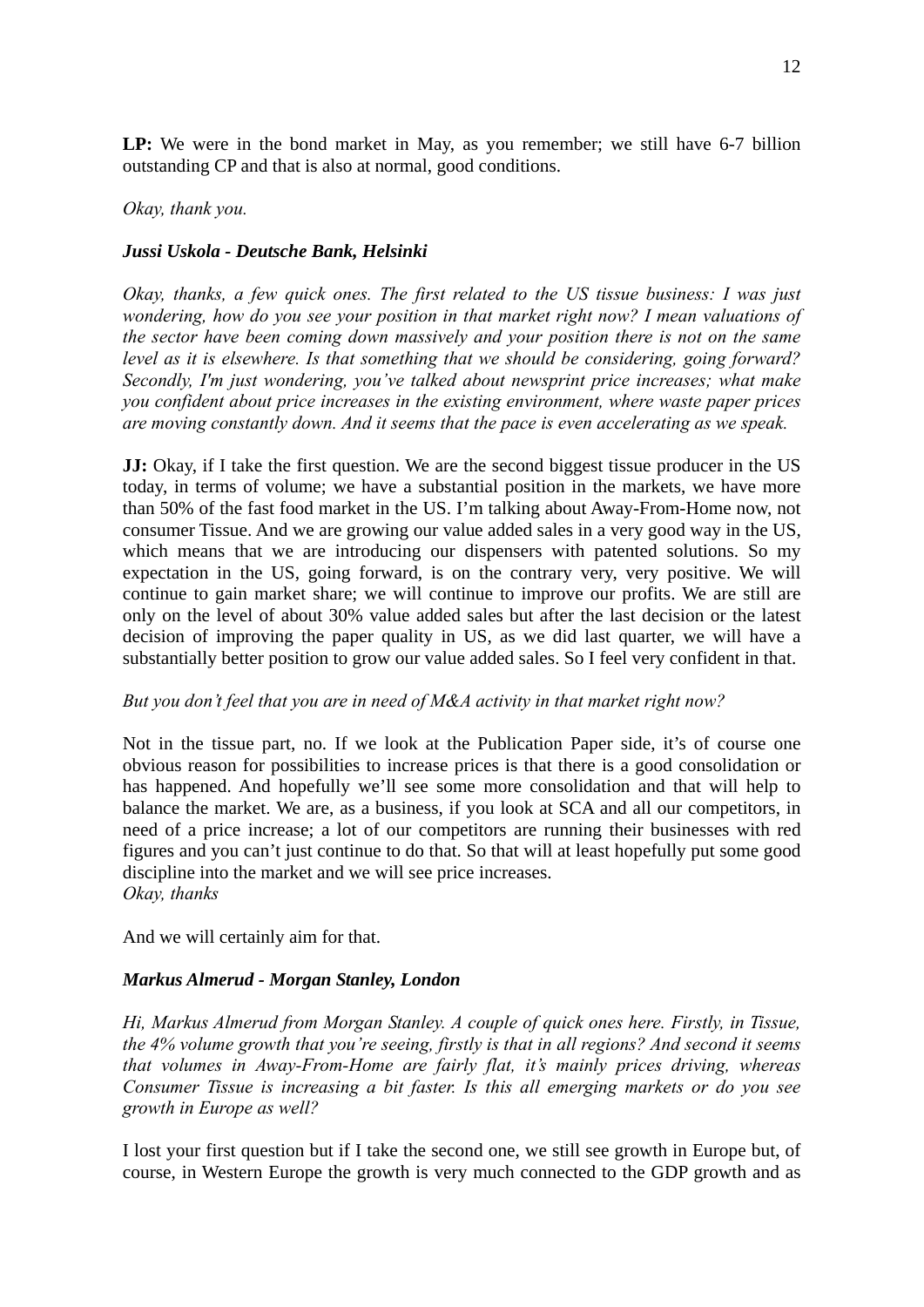**LP:** We were in the bond market in May, as you remember; we still have 6-7 billion outstanding CP and that is also at normal, good conditions.

#### *Okay, thank you.*

#### *Jussi Uskola - Deutsche Bank, Helsinki*

*Okay, thanks, a few quick ones. The first related to the US tissue business: I was just wondering, how do you see your position in that market right now? I mean valuations of the sector have been coming down massively and your position there is not on the same level as it is elsewhere. Is that something that we should be considering, going forward? Secondly, I'm just wondering, you've talked about newsprint price increases; what make you confident about price increases in the existing environment, where waste paper prices are moving constantly down. And it seems that the pace is even accelerating as we speak.* 

**JJ:** Okay, if I take the first question. We are the second biggest tissue producer in the US today, in terms of volume; we have a substantial position in the markets, we have more than 50% of the fast food market in the US. I'm talking about Away-From-Home now, not consumer Tissue. And we are growing our value added sales in a very good way in the US, which means that we are introducing our dispensers with patented solutions. So my expectation in the US, going forward, is on the contrary very, very positive. We will continue to gain market share; we will continue to improve our profits. We are still are only on the level of about 30% value added sales but after the last decision or the latest decision of improving the paper quality in US, as we did last quarter, we will have a substantially better position to grow our value added sales. So I feel very confident in that.

#### *But you don't feel that you are in need of M&A activity in that market right now?*

Not in the tissue part, no. If we look at the Publication Paper side, it's of course one obvious reason for possibilities to increase prices is that there is a good consolidation or has happened. And hopefully we'll see some more consolidation and that will help to balance the market. We are, as a business, if you look at SCA and all our competitors, in need of a price increase; a lot of our competitors are running their businesses with red figures and you can't just continue to do that. So that will at least hopefully put some good discipline into the market and we will see price increases. *Okay, thanks* 

And we will certainly aim for that.

# *Markus Almerud - Morgan Stanley, London*

*Hi, Markus Almerud from Morgan Stanley. A couple of quick ones here. Firstly, in Tissue, the 4% volume growth that you're seeing, firstly is that in all regions? And second it seems that volumes in Away-From-Home are fairly flat, it's mainly prices driving, whereas Consumer Tissue is increasing a bit faster. Is this all emerging markets or do you see growth in Europe as well?* 

I lost your first question but if I take the second one, we still see growth in Europe but, of course, in Western Europe the growth is very much connected to the GDP growth and as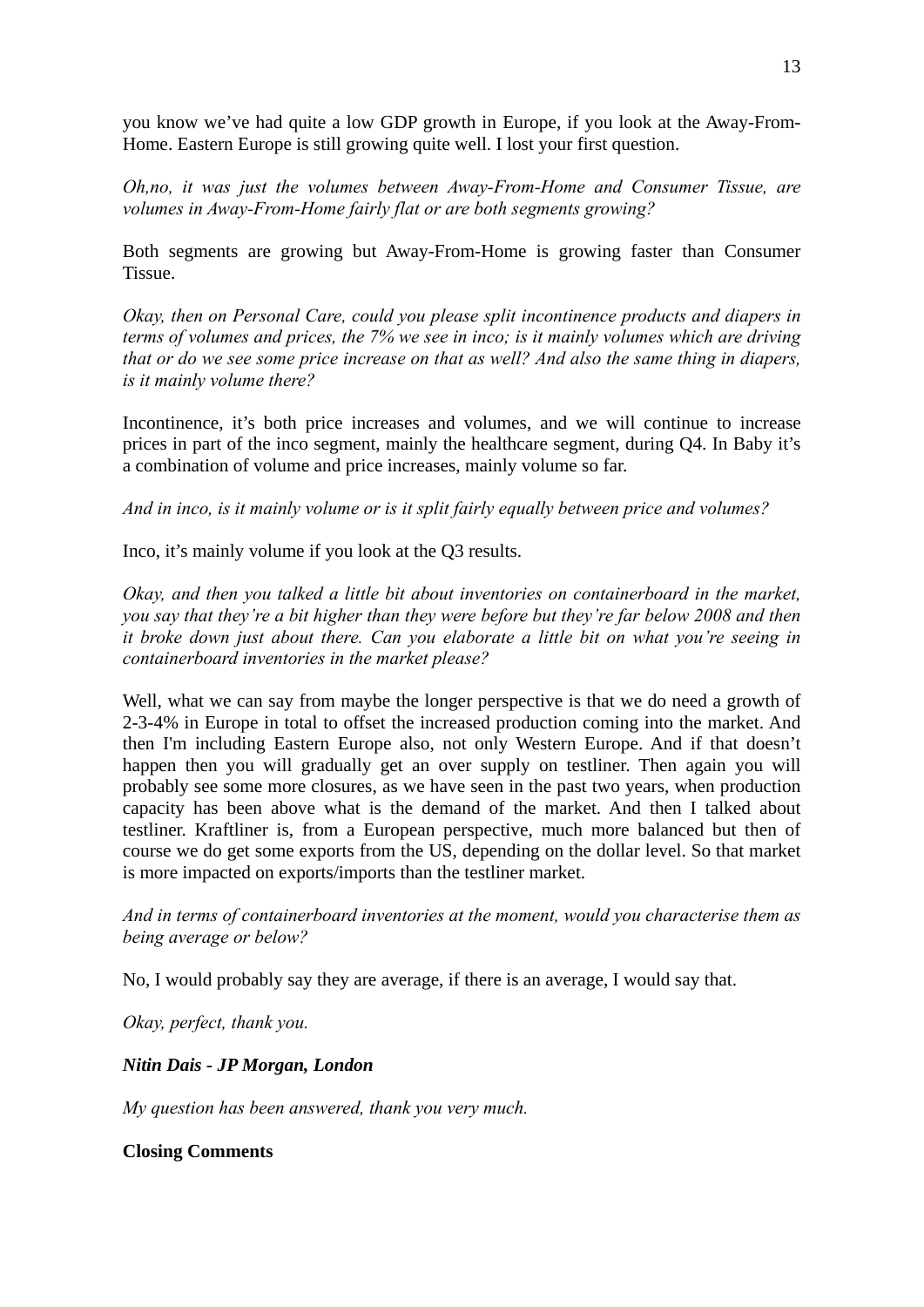you know we've had quite a low GDP growth in Europe, if you look at the Away-From-Home. Eastern Europe is still growing quite well. I lost your first question.

*Oh,no, it was just the volumes between Away-From-Home and Consumer Tissue, are volumes in Away-From-Home fairly flat or are both segments growing?* 

Both segments are growing but Away-From-Home is growing faster than Consumer Tissue.

*Okay, then on Personal Care, could you please split incontinence products and diapers in terms of volumes and prices, the 7% we see in inco; is it mainly volumes which are driving that or do we see some price increase on that as well? And also the same thing in diapers, is it mainly volume there?* 

Incontinence, it's both price increases and volumes, and we will continue to increase prices in part of the inco segment, mainly the healthcare segment, during Q4. In Baby it's a combination of volume and price increases, mainly volume so far.

*And in inco, is it mainly volume or is it split fairly equally between price and volumes?* 

Inco, it's mainly volume if you look at the Q3 results.

*Okay, and then you talked a little bit about inventories on containerboard in the market, you say that they're a bit higher than they were before but they're far below 2008 and then it broke down just about there. Can you elaborate a little bit on what you're seeing in containerboard inventories in the market please?* 

Well, what we can say from maybe the longer perspective is that we do need a growth of 2-3-4% in Europe in total to offset the increased production coming into the market. And then I'm including Eastern Europe also, not only Western Europe. And if that doesn't happen then you will gradually get an over supply on testliner. Then again you will probably see some more closures, as we have seen in the past two years, when production capacity has been above what is the demand of the market. And then I talked about testliner. Kraftliner is, from a European perspective, much more balanced but then of course we do get some exports from the US, depending on the dollar level. So that market is more impacted on exports/imports than the testliner market.

*And in terms of containerboard inventories at the moment, would you characterise them as being average or below?* 

No, I would probably say they are average, if there is an average, I would say that.

*Okay, perfect, thank you.* 

*Nitin Dais - JP Morgan, London* 

*My question has been answered, thank you very much.* 

**Closing Comments**